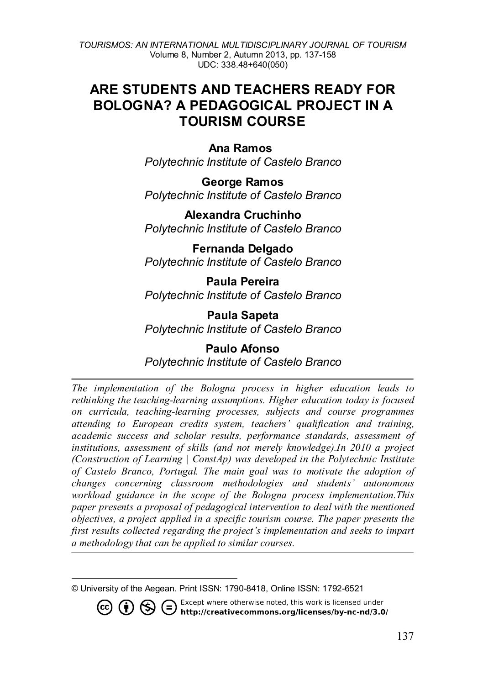*TOURISMOS: AN INTERNATIONAL MULTIDISCIPLINARY JOURNAL OF TOURISM* Volume 8, Number 2, Autumn 2013, pp. 137-158 UDC: 338.48+640(050)

# **ARE STUDENTS AND TEACHERS READY FOR BOLOGNA? A PEDAGOGICAL PROJECT IN A TOURISM COURSE**

#### Ana Ramos

*Polytechnic Institute of Castelo Branco*

**George Ramos** *Polytechnic Institute of Castelo Branco*

**Alexandra Cruchinho** *Polytechnic Institute of Castelo Branco*

**Fernanda Delgado** *Polytechnic Institute of Castelo Branco*

**Paula Pereira** *Polytechnic Institute of Castelo Branco*

**Paula Sapeta** *Polytechnic Institute of Castelo Branco*

### **Paulo Afonso** *Polytechnic Institute of Castelo Branco*

*The implementation of the Bologna process in higher education leads to rethinking the teaching-learning assumptions. Higher education today is focused on curricula, teaching-learning processes, subjects and course programmes attending to European credits system, teachers' qualification and training, academic success and scholar results, performance standards, assessment of institutions, assessment of skills (and not merely knowledge).In 2010 a project (Construction of Learning | ConstAp) was developed in the Polytechnic Institute of Castelo Branco, Portugal. The main goal was to motivate the adoption of changes concerning classroom methodologies and students' autonomous workload guidance in the scope of the Bologna process implementation.This paper presents a proposal of pedagogical intervention to deal with the mentioned objectives, a project applied in a specific tourism course. The paper presents the first results collected regarding the project's implementation and seeks to impart a methodology that can be applied to similar courses.*

<span id="page-0-0"></span> $\overline{a}$ © University of the Aegean. Print ISSN: 1790-8418, Online ISSN: 1792-6521

Except where otherwise noted, this work is licensed under **1** S Except where otherwise noted, this work is licensed under<br>http://creativecommons.org/licenses/by-nc-nd/3.0/  $(cc)$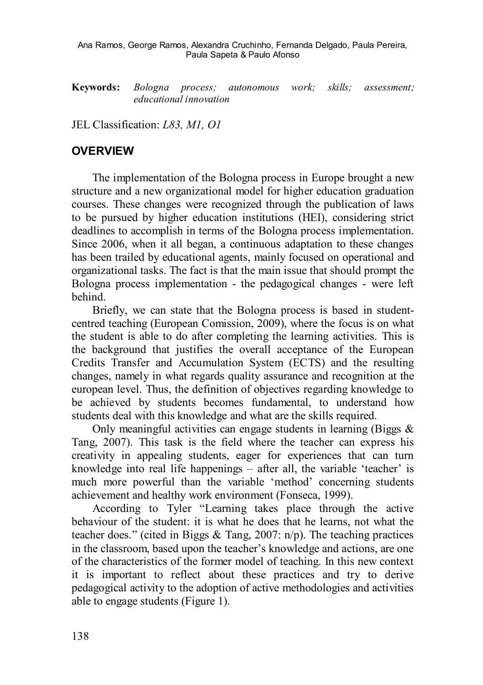**Keywords:** *Bologna process; autonomous work; skills; assessment; educational innovation*

JEL Classification: *L83, M1, O1*

#### **OVERVIEW**

The implementation of the Bologna process in Europe brought a new structure and a new organizational model for higher education graduation courses. These changes were recognized through the publication of laws to be pursued by higher education institutions (HEI), considering strict deadlines to accomplish in terms of the Bologna process implementation. Since 2006, when it all began, a continuous adaptation to these changes has been trailed by educational agents, mainly focused on operational and organizational tasks. The fact is that the main issue that should prompt the Bologna process implementation - the pedagogical changes - were left behind.

Briefly, we can state that the Bologna process is based in studentcentred teaching (European Comission, 2009), where the focus is on what the student is able to do after completing the learning activities. This is the background that justifies the overall acceptance of the European Credits Transfer and Accumulation System (ECTS) and the resulting changes, namely in what regards quality assurance and recognition at the european level. Thus, the definition of objectives regarding knowledge to be achieved by students becomes fundamental, to understand how students deal with this knowledge and what are the skills required.

Only meaningful activities can engage students in learning (Biggs  $\&$ Tang, 2007). This task is the field where the teacher can express his creativity in appealing students, eager for experiences that can turn knowledge into real life happenings – after all, the variable 'teacher' is much more powerful than the variable 'method' concerning students achievement and healthy work environment (Fonseca, 1999).

According to Tyler "Learning takes place through the active behaviour of the student: it is what he does that he learns, not what the teacher does." (cited in Biggs & Tang, 2007: n/p). The teaching practices in the classroom, based upon the teacher's knowledge and actions, are one of the characteristics of the former model of teaching. In this new context it is important to reflect about these practices and try to derive pedagogical activity to the adoption of active methodologies and activities able to engage students (Figure 1).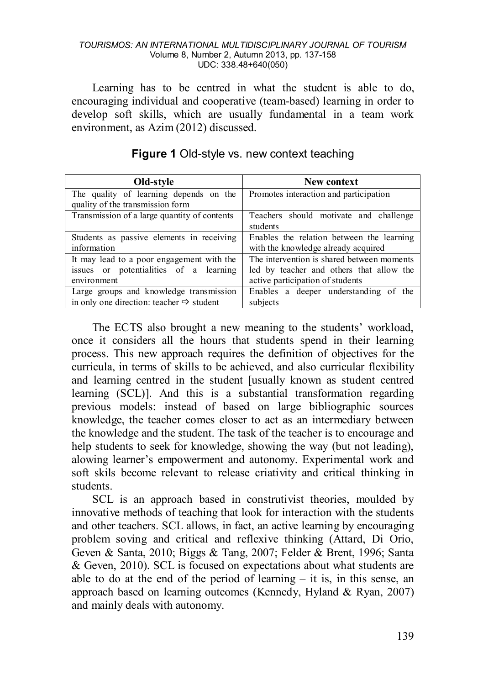#### *TOURISMOS: AN INTERNATIONAL MULTIDISCIPLINARY JOURNAL OF TOURISM* Volume 8, Number 2, Autumn 2013, pp. 137-158 UDC: 338.48+640(050)

Learning has to be centred in what the student is able to do, encouraging individual and cooperative (team-based) learning in order to develop soft skills, which are usually fundamental in a team work environment, as Azim (2012) discussed.

| Old-style                                                                  | New context                                        |
|----------------------------------------------------------------------------|----------------------------------------------------|
| The quality of learning depends on the<br>quality of the transmission form | Promotes interaction and participation             |
| Transmission of a large quantity of contents                               | Teachers should motivate and challenge<br>students |
| Students as passive elements in receiving                                  | Enables the relation between the learning          |
| information                                                                | with the knowledge already acquired                |
| It may lead to a poor engagement with the                                  | The intervention is shared between moments         |
| issues or potentialities of a learning                                     | led by teacher and others that allow the           |
| environment                                                                | active participation of students                   |
| Large groups and knowledge transmission                                    | Enables a deeper understanding of the              |
| in only one direction: teacher $\Rightarrow$ student                       | subjects                                           |

#### **Figure 1** Old-style vs. new context teaching

The ECTS also brought a new meaning to the students' workload, once it considers all the hours that students spend in their learning process. This new approach requires the definition of objectives for the curricula, in terms of skills to be achieved, and also curricular flexibility and learning centred in the student [usually known as student centred learning (SCL)]. And this is a substantial transformation regarding previous models: instead of based on large bibliographic sources knowledge, the teacher comes closer to act as an intermediary between the knowledge and the student. The task of the teacher is to encourage and help students to seek for knowledge, showing the way (but not leading), alowing learner's empowerment and autonomy. Experimental work and soft skils become relevant to release criativity and critical thinking in students.

SCL is an approach based in construtivist theories, moulded by innovative methods of teaching that look for interaction with the students and other teachers. SCL allows, in fact, an active learning by encouraging problem soving and critical and reflexive thinking (Attard, Di Orio, Geven & Santa, 2010; Biggs & Tang, 2007; Felder & Brent, 1996; Santa & Geven, 2010). SCL is focused on expectations about what students are able to do at the end of the period of learning – it is, in this sense, an approach based on learning outcomes (Kennedy, Hyland & Ryan, 2007) and mainly deals with autonomy.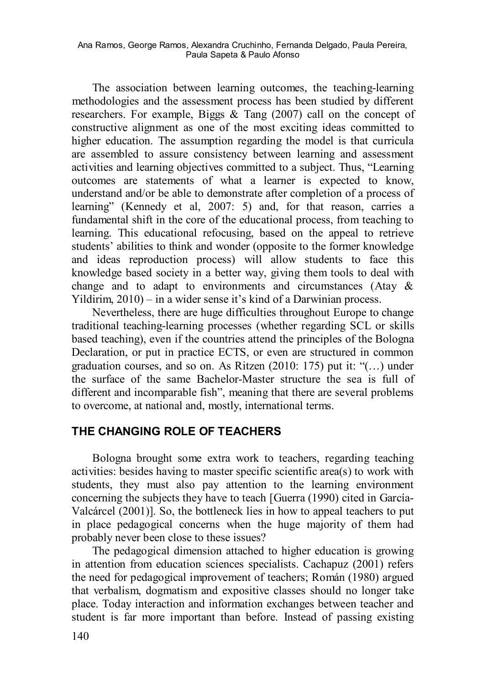The association between learning outcomes, the teaching-learning methodologies and the assessment process has been studied by different researchers. For example, Biggs & Tang (2007) call on the concept of constructive alignment as one of the most exciting ideas committed to higher education. The assumption regarding the model is that curricula are assembled to assure consistency between learning and assessment activities and learning objectives committed to a subject. Thus, "Learning outcomes are statements of what a learner is expected to know, understand and/or be able to demonstrate after completion of a process of learning" (Kennedy et al, 2007: 5) and, for that reason, carries a fundamental shift in the core of the educational process, from teaching to learning. This educational refocusing, based on the appeal to retrieve students' abilities to think and wonder (opposite to the former knowledge and ideas reproduction process) will allow students to face this knowledge based society in a better way, giving them tools to deal with change and to adapt to environments and circumstances (Atay & Yildirim, 2010) – in a wider sense it's kind of a Darwinian process.

Nevertheless, there are huge difficulties throughout Europe to change traditional teaching-learning processes (whether regarding SCL or skills based teaching), even if the countries attend the principles of the Bologna Declaration, or put in practice ECTS, or even are structured in common graduation courses, and so on. As Ritzen (2010: 175) put it: "(…) under the surface of the same Bachelor-Master structure the sea is full of different and incomparable fish", meaning that there are several problems to overcome, at national and, mostly, international terms.

## **THE CHANGING ROLE OF TEACHERS**

Bologna brought some extra work to teachers, regarding teaching activities: besides having to master specific scientific area(s) to work with students, they must also pay attention to the learning environment concerning the subjects they have to teach [Guerra (1990) cited in García-Valcárcel (2001)]. So, the bottleneck lies in how to appeal teachers to put in place pedagogical concerns when the huge majority of them had probably never been close to these issues?

The pedagogical dimension attached to higher education is growing in attention from education sciences specialists. Cachapuz (2001) refers the need for pedagogical improvement of teachers; Román (1980) argued that verbalism, dogmatism and expositive classes should no longer take place. Today interaction and information exchanges between teacher and student is far more important than before. Instead of passing existing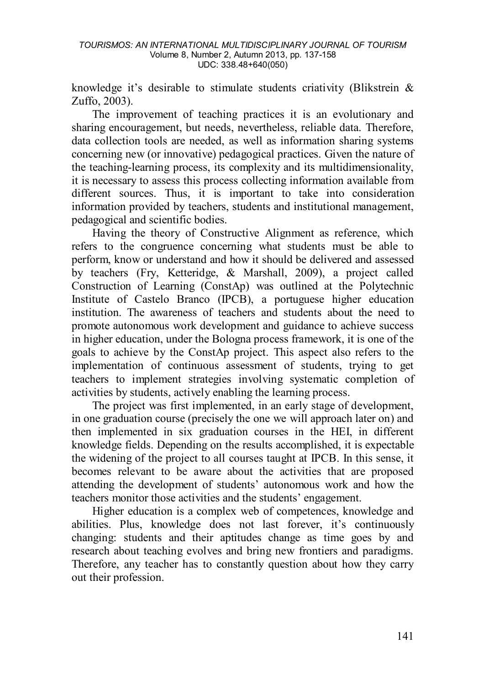knowledge it's desirable to stimulate students criativity (Blikstrein & Zuffo, 2003).

The improvement of teaching practices it is an evolutionary and sharing encouragement, but needs, nevertheless, reliable data. Therefore, data collection tools are needed, as well as information sharing systems concerning new (or innovative) pedagogical practices. Given the nature of the teaching-learning process, its complexity and its multidimensionality, it is necessary to assess this process collecting information available from different sources. Thus, it is important to take into consideration information provided by teachers, students and institutional management, pedagogical and scientific bodies.

Having the theory of Constructive Alignment as reference, which refers to the congruence concerning what students must be able to perform, know or understand and how it should be delivered and assessed by teachers (Fry, Ketteridge, & Marshall, 2009), a project called Construction of Learning (ConstAp) was outlined at the Polytechnic Institute of Castelo Branco (IPCB), a portuguese higher education institution. The awareness of teachers and students about the need to promote autonomous work development and guidance to achieve success in higher education, under the Bologna process framework, it is one of the goals to achieve by the ConstAp project. This aspect also refers to the implementation of continuous assessment of students, trying to get teachers to implement strategies involving systematic completion of activities by students, actively enabling the learning process.

The project was first implemented, in an early stage of development, in one graduation course (precisely the one we will approach later on) and then implemented in six graduation courses in the HEI, in different knowledge fields. Depending on the results accomplished, it is expectable the widening of the project to all courses taught at IPCB. In this sense, it becomes relevant to be aware about the activities that are proposed attending the development of students' autonomous work and how the teachers monitor those activities and the students' engagement.

Higher education is a complex web of competences, knowledge and abilities. Plus, knowledge does not last forever, it's continuously changing: students and their aptitudes change as time goes by and research about teaching evolves and bring new frontiers and paradigms. Therefore, any teacher has to constantly question about how they carry out their profession.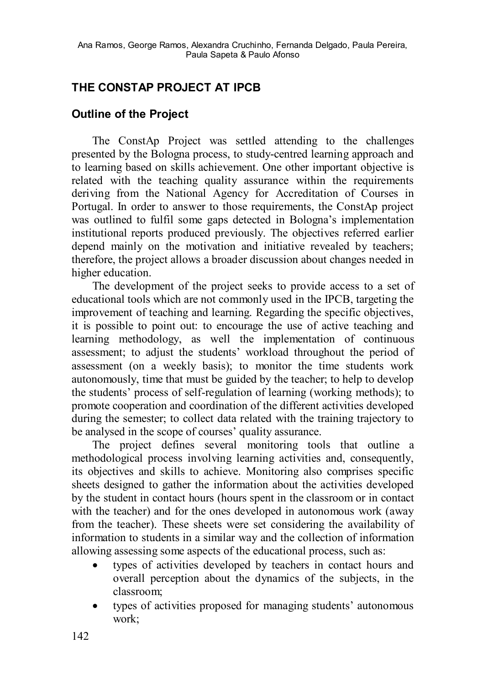## **THE CONSTAP PROJECT AT IPCB**

## **Outline of the Project**

The ConstAp Project was settled attending to the challenges presented by the Bologna process, to study-centred learning approach and to learning based on skills achievement. One other important objective is related with the teaching quality assurance within the requirements deriving from the National Agency for Accreditation of Courses in Portugal. In order to answer to those requirements, the ConstAp project was outlined to fulfil some gaps detected in Bologna's implementation institutional reports produced previously. The objectives referred earlier depend mainly on the motivation and initiative revealed by teachers; therefore, the project allows a broader discussion about changes needed in higher education.

The development of the project seeks to provide access to a set of educational tools which are not commonly used in the IPCB, targeting the improvement of teaching and learning. Regarding the specific objectives, it is possible to point out: to encourage the use of active teaching and learning methodology, as well the implementation of continuous assessment; to adjust the students' workload throughout the period of assessment (on a weekly basis); to monitor the time students work autonomously, time that must be guided by the teacher; to help to develop the students' process of self-regulation of learning (working methods); to promote cooperation and coordination of the different activities developed during the semester; to collect data related with the training trajectory to be analysed in the scope of courses' quality assurance.

The project defines several monitoring tools that outline a methodological process involving learning activities and, consequently, its objectives and skills to achieve. Monitoring also comprises specific sheets designed to gather the information about the activities developed by the student in contact hours (hours spent in the classroom or in contact with the teacher) and for the ones developed in autonomous work (away from the teacher). These sheets were set considering the availability of information to students in a similar way and the collection of information allowing assessing some aspects of the educational process, such as:

- types of activities developed by teachers in contact hours and overall perception about the dynamics of the subjects, in the classroom;
- types of activities proposed for managing students' autonomous work;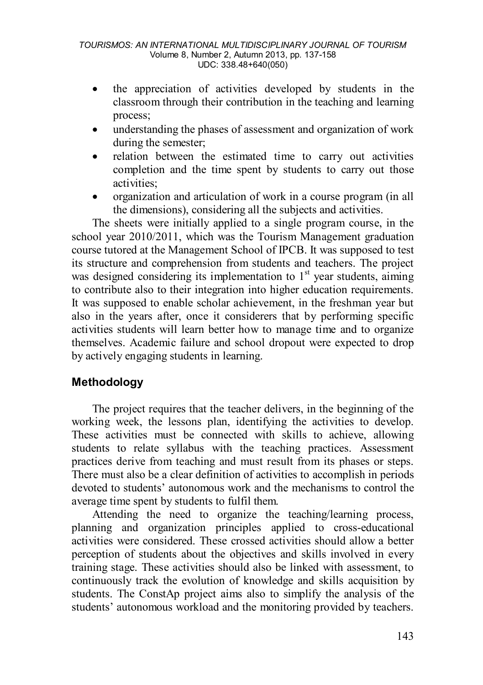- the appreciation of activities developed by students in the classroom through their contribution in the teaching and learning process;
- understanding the phases of assessment and organization of work during the semester;
- relation between the estimated time to carry out activities completion and the time spent by students to carry out those activities;
- organization and articulation of work in a course program (in all the dimensions), considering all the subjects and activities.

The sheets were initially applied to a single program course, in the school year 2010/2011, which was the Tourism Management graduation course tutored at the Management School of IPCB. It was supposed to test its structure and comprehension from students and teachers. The project was designed considering its implementation to  $1<sup>st</sup>$  year students, aiming to contribute also to their integration into higher education requirements. It was supposed to enable scholar achievement, in the freshman year but also in the years after, once it considerers that by performing specific activities students will learn better how to manage time and to organize themselves. Academic failure and school dropout were expected to drop by actively engaging students in learning.

## **Methodology**

The project requires that the teacher delivers, in the beginning of the working week, the lessons plan, identifying the activities to develop. These activities must be connected with skills to achieve, allowing students to relate syllabus with the teaching practices. Assessment practices derive from teaching and must result from its phases or steps. There must also be a clear definition of activities to accomplish in periods devoted to students' autonomous work and the mechanisms to control the average time spent by students to fulfil them.

Attending the need to organize the teaching/learning process, planning and organization principles applied to cross-educational activities were considered. These crossed activities should allow a better perception of students about the objectives and skills involved in every training stage. These activities should also be linked with assessment, to continuously track the evolution of knowledge and skills acquisition by students. The ConstAp project aims also to simplify the analysis of the students' autonomous workload and the monitoring provided by teachers.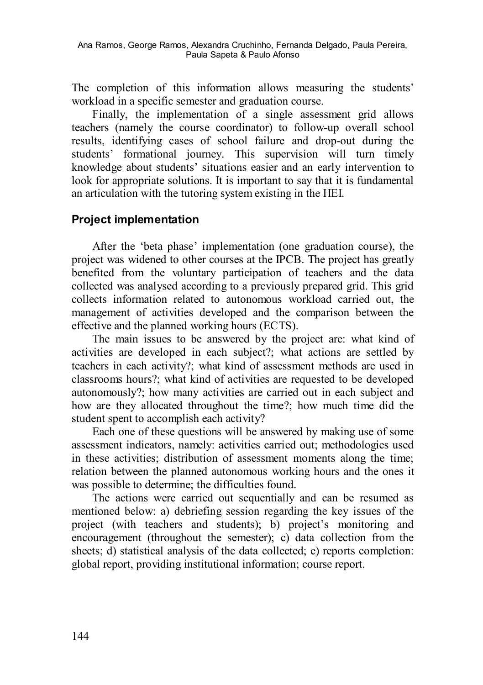The completion of this information allows measuring the students' workload in a specific semester and graduation course.

Finally, the implementation of a single assessment grid allows teachers (namely the course coordinator) to follow-up overall school results, identifying cases of school failure and drop-out during the students' formational journey. This supervision will turn timely knowledge about students' situations easier and an early intervention to look for appropriate solutions. It is important to say that it is fundamental an articulation with the tutoring system existing in the HEI.

### **Project implementation**

After the 'beta phase' implementation (one graduation course), the project was widened to other courses at the IPCB. The project has greatly benefited from the voluntary participation of teachers and the data collected was analysed according to a previously prepared grid. This grid collects information related to autonomous workload carried out, the management of activities developed and the comparison between the effective and the planned working hours (ECTS).

The main issues to be answered by the project are: what kind of activities are developed in each subject?; what actions are settled by teachers in each activity?; what kind of assessment methods are used in classrooms hours?; what kind of activities are requested to be developed autonomously?; how many activities are carried out in each subject and how are they allocated throughout the time?; how much time did the student spent to accomplish each activity?

Each one of these questions will be answered by making use of some assessment indicators, namely: activities carried out; methodologies used in these activities; distribution of assessment moments along the time; relation between the planned autonomous working hours and the ones it was possible to determine; the difficulties found.

The actions were carried out sequentially and can be resumed as mentioned below: a) debriefing session regarding the key issues of the project (with teachers and students); b) project's monitoring and encouragement (throughout the semester); c) data collection from the sheets; d) statistical analysis of the data collected; e) reports completion: global report, providing institutional information; course report.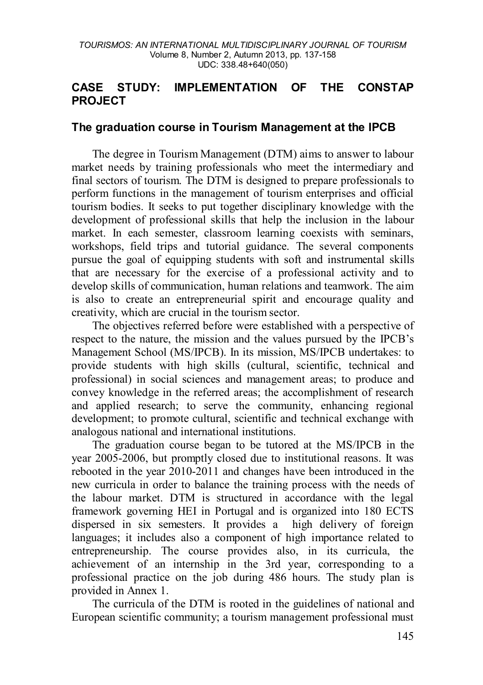### **CASE STUDY: IMPLEMENTATION OF THE CONSTAP PROJECT**

#### **The graduation course in Tourism Management at the IPCB**

The degree in Tourism Management (DTM) aims to answer to labour market needs by training professionals who meet the intermediary and final sectors of tourism. The DTM is designed to prepare professionals to perform functions in the management of tourism enterprises and official tourism bodies. It seeks to put together disciplinary knowledge with the development of professional skills that help the inclusion in the labour market. In each semester, classroom learning coexists with seminars, workshops, field trips and tutorial guidance. The several components pursue the goal of equipping students with soft and instrumental skills that are necessary for the exercise of a professional activity and to develop skills of communication, human relations and teamwork. The aim is also to create an entrepreneurial spirit and encourage quality and creativity, which are crucial in the tourism sector.

The objectives referred before were established with a perspective of respect to the nature, the mission and the values pursued by the IPCB's Management School (MS/IPCB). In its mission, MS/IPCB undertakes: to provide students with high skills (cultural, scientific, technical and professional) in social sciences and management areas; to produce and convey knowledge in the referred areas; the accomplishment of research and applied research; to serve the community, enhancing regional development; to promote cultural, scientific and technical exchange with analogous national and international institutions.

The graduation course began to be tutored at the MS/IPCB in the year 2005-2006, but promptly closed due to institutional reasons. It was rebooted in the year 2010-2011 and changes have been introduced in the new curricula in order to balance the training process with the needs of the labour market. DTM is structured in accordance with the legal framework governing HEI in Portugal and is organized into 180 ECTS dispersed in six semesters. It provides a high delivery of foreign languages; it includes also a component of high importance related to entrepreneurship. The course provides also, in its curricula, the achievement of an internship in the 3rd year, corresponding to a professional practice on the job during 486 hours. The study plan is provided in Annex 1.

The curricula of the DTM is rooted in the guidelines of national and European scientific community; a tourism management professional must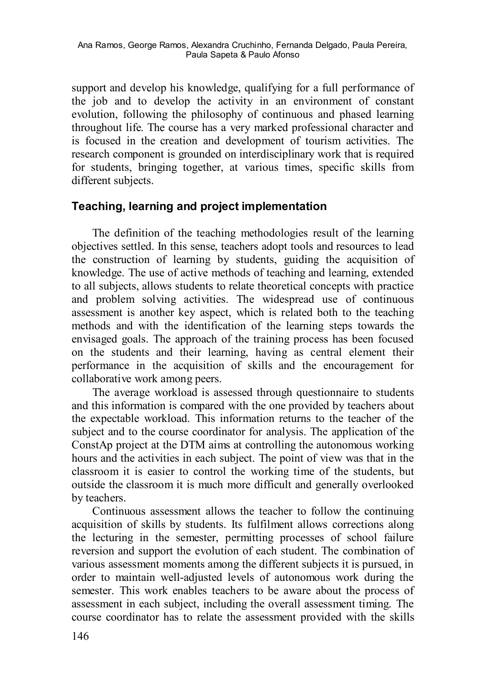support and develop his knowledge, qualifying for a full performance of the job and to develop the activity in an environment of constant evolution, following the philosophy of continuous and phased learning throughout life. The course has a very marked professional character and is focused in the creation and development of tourism activities. The research component is grounded on interdisciplinary work that is required for students, bringing together, at various times, specific skills from different subjects.

## **Teaching, learning and project implementation**

The definition of the teaching methodologies result of the learning objectives settled. In this sense, teachers adopt tools and resources to lead the construction of learning by students, guiding the acquisition of knowledge. The use of active methods of teaching and learning, extended to all subjects, allows students to relate theoretical concepts with practice and problem solving activities. The widespread use of continuous assessment is another key aspect, which is related both to the teaching methods and with the identification of the learning steps towards the envisaged goals. The approach of the training process has been focused on the students and their learning, having as central element their performance in the acquisition of skills and the encouragement for collaborative work among peers.

The average workload is assessed through questionnaire to students and this information is compared with the one provided by teachers about the expectable workload. This information returns to the teacher of the subject and to the course coordinator for analysis. The application of the ConstAp project at the DTM aims at controlling the autonomous working hours and the activities in each subject. The point of view was that in the classroom it is easier to control the working time of the students, but outside the classroom it is much more difficult and generally overlooked by teachers.

Continuous assessment allows the teacher to follow the continuing acquisition of skills by students. Its fulfilment allows corrections along the lecturing in the semester, permitting processes of school failure reversion and support the evolution of each student. The combination of various assessment moments among the different subjects it is pursued, in order to maintain well-adjusted levels of autonomous work during the semester. This work enables teachers to be aware about the process of assessment in each subject, including the overall assessment timing. The course coordinator has to relate the assessment provided with the skills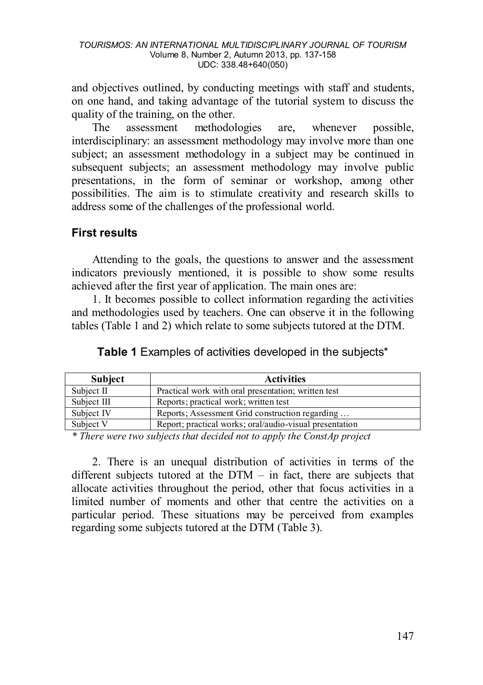and objectives outlined, by conducting meetings with staff and students, on one hand, and taking advantage of the tutorial system to discuss the quality of the training, on the other.

The assessment methodologies are, whenever possible, interdisciplinary: an assessment methodology may involve more than one subject; an assessment methodology in a subject may be continued in subsequent subjects; an assessment methodology may involve public presentations, in the form of seminar or workshop, among other possibilities. The aim is to stimulate creativity and research skills to address some of the challenges of the professional world.

### **First results**

Attending to the goals, the questions to answer and the assessment indicators previously mentioned, it is possible to show some results achieved after the first year of application. The main ones are:

1. It becomes possible to collect information regarding the activities and methodologies used by teachers. One can observe it in the following tables (Table 1 and 2) which relate to some subjects tutored at the DTM.

| <b>Subject</b> | <b>Activities</b>                                       |
|----------------|---------------------------------------------------------|
| Subject II     | Practical work with oral presentation; written test     |
| Subject III    | Reports; practical work; written test                   |
| Subject IV     | Reports; Assessment Grid construction regarding         |
| Subject V      | Report; practical works; oral/audio-visual presentation |

**Table 1** Examples of activities developed in the subjects\*

*\* There were two subjects that decided not to apply the ConstAp project*

2. There is an unequal distribution of activities in terms of the different subjects tutored at the DTM – in fact, there are subjects that allocate activities throughout the period, other that focus activities in a limited number of moments and other that centre the activities on a particular period. These situations may be perceived from examples regarding some subjects tutored at the DTM (Table 3).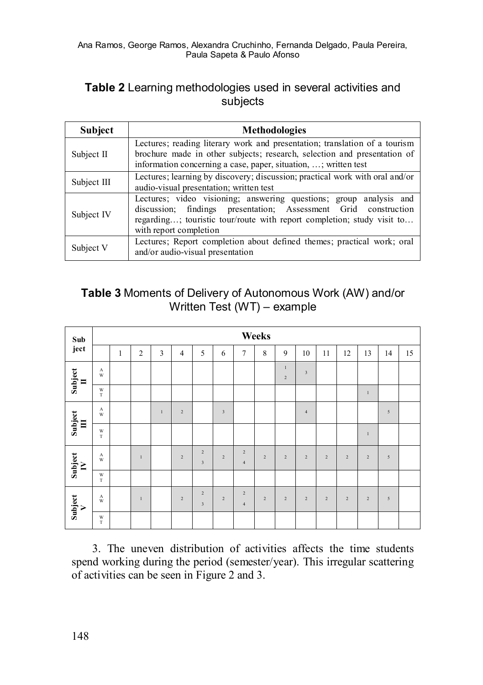## **Table 2** Learning methodologies used in several activities and subjects

| <b>Subject</b> | <b>Methodologies</b>                                                                                                                                                                                                                      |  |  |  |  |  |  |  |  |
|----------------|-------------------------------------------------------------------------------------------------------------------------------------------------------------------------------------------------------------------------------------------|--|--|--|--|--|--|--|--|
| Subject II     | Lectures; reading literary work and presentation; translation of a tourism<br>brochure made in other subjects; research, selection and presentation of<br>information concerning a case, paper, situation, ; written test                 |  |  |  |  |  |  |  |  |
| Subject III    | Lectures; learning by discovery; discussion; practical work with oral and/or<br>audio-visual presentation; written test                                                                                                                   |  |  |  |  |  |  |  |  |
| Subject IV     | Lectures; video visioning; answering questions; group analysis and<br>discussion; findings presentation; Assessment Grid construction<br>regarding; touristic tour/route with report completion; study visit to<br>with report completion |  |  |  |  |  |  |  |  |
| Subject V      | Lectures; Report completion about defined themes; practical work; oral<br>and/or audio-visual presentation                                                                                                                                |  |  |  |  |  |  |  |  |

## **Table 3** Moments of Delivery of Autonomous Work (AW) and/or Written Test (WT) – example

| Sub                                 |                             | Weeks        |                |       |                |                                           |                         |                              |                |                |                         |                |                |                |            |    |
|-------------------------------------|-----------------------------|--------------|----------------|-------|----------------|-------------------------------------------|-------------------------|------------------------------|----------------|----------------|-------------------------|----------------|----------------|----------------|------------|----|
| ject                                |                             | $\mathbf{1}$ | $\overline{2}$ | 3     | $\overline{4}$ | 5                                         | 6                       | $\overline{7}$               | 8              | 9              | 10                      | 11             | 12             | 13             | 14         | 15 |
| $\frac{\text{Subject}}{\text{II}}$  | $\Lambda$<br>W              |              |                |       |                |                                           |                         |                              |                | $\,1$<br>$\,2$ | $\overline{\mathbf{3}}$ |                |                |                |            |    |
|                                     | W<br>$\mathbf T$            |              |                |       |                |                                           |                         |                              |                |                |                         |                |                | $\mathbf{I}$   |            |    |
| $\frac{\text{Subject}}{\text{III}}$ | A<br>W                      |              |                | $\,1$ | $\,2$          |                                           | $\overline{\mathbf{3}}$ |                              |                |                | $\sqrt{4}$              |                |                |                | 5          |    |
|                                     | $\mathbf{W}$<br>$\mathbf T$ |              |                |       |                |                                           |                         |                              |                |                |                         |                |                | $\,$ l         |            |    |
| $\frac{\text{Subject}}{\text{IV}}$  | $_{\rm W}^{\rm A}$          |              | $\mathbf{1}$   |       | $\sqrt{2}$     | $\overline{2}$<br>$\overline{\mathbf{3}}$ | $\,2$                   | $\sqrt{2}$<br>$\overline{4}$ | $\overline{2}$ | $\overline{c}$ | $\overline{2}$          | $\overline{2}$ | $\overline{c}$ | $\sqrt{2}$     | $\sqrt{5}$ |    |
|                                     | W<br>$\mathbf T$            |              |                |       |                |                                           |                         |                              |                |                |                         |                |                |                |            |    |
| $\frac{\text{Subject}}{\text{V}}$   | $\mathbf A$<br>W            |              | $\mathbf{1}$   |       | $\sqrt{2}$     | $\overline{2}$<br>$\overline{3}$          | $\overline{2}$          | $\sqrt{2}$<br>$\overline{4}$ | $\overline{2}$ | $\,2$          | $\overline{2}$          | $\overline{2}$ | $\overline{2}$ | $\overline{2}$ | 5          |    |
|                                     | $_{\rm T}^{\rm W}$          |              |                |       |                |                                           |                         |                              |                |                |                         |                |                |                |            |    |

3. The uneven distribution of activities affects the time students spend working during the period (semester/year). This irregular scattering of activities can be seen in Figure 2 and 3.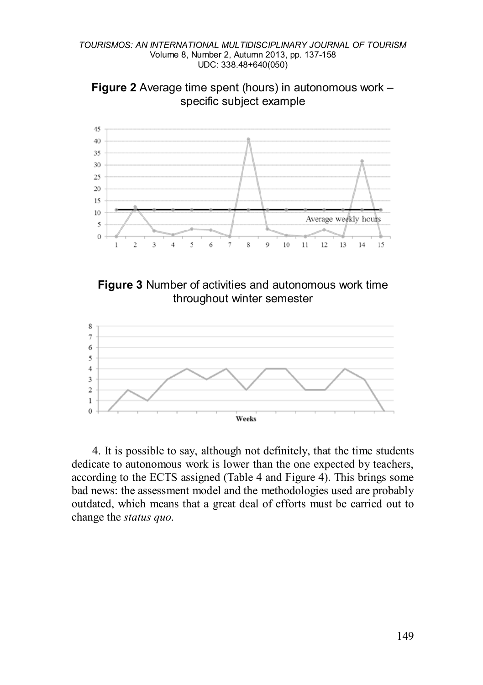







4. It is possible to say, although not definitely, that the time students dedicate to autonomous work is lower than the one expected by teachers, according to the ECTS assigned (Table 4 and Figure 4). This brings some bad news: the assessment model and the methodologies used are probably outdated, which means that a great deal of efforts must be carried out to change the *status quo*.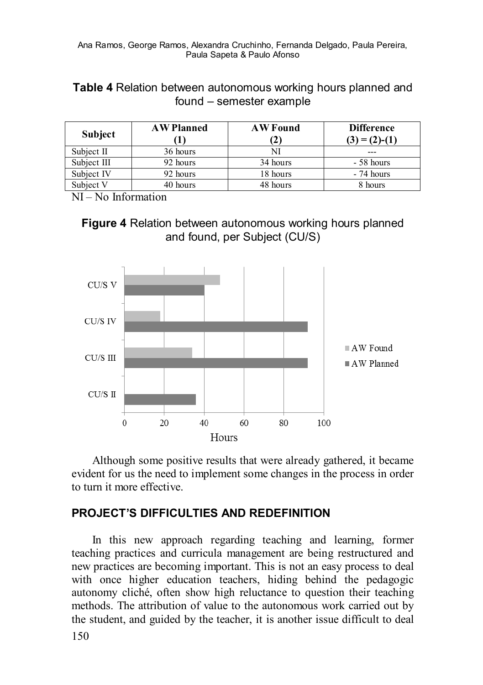**Table 4** Relation between autonomous working hours planned and found – semester example

| <b>Subject</b> | <b>AW Planned</b> | <b>AW Found</b><br>(2) | <b>Difference</b><br>$(3) = (2) - (1)$ |  |  |  |
|----------------|-------------------|------------------------|----------------------------------------|--|--|--|
| Subject II     | 36 hours          | NI                     | ---                                    |  |  |  |
| Subject III    | 92 hours          | 34 hours               | - 58 hours                             |  |  |  |
| Subject IV     | 92 hours          | 18 hours               | - 74 hours                             |  |  |  |
| Subject V      | 40 hours          | 48 hours               | 8 hours                                |  |  |  |

NI – No Information





Although some positive results that were already gathered, it became evident for us the need to implement some changes in the process in order to turn it more effective.

### **PROJECT'S DIFFICULTIES AND REDEFINITION**

In this new approach regarding teaching and learning, former teaching practices and curricula management are being restructured and new practices are becoming important. This is not an easy process to deal with once higher education teachers, hiding behind the pedagogic autonomy cliché, often show high reluctance to question their teaching methods. The attribution of value to the autonomous work carried out by the student, and guided by the teacher, it is another issue difficult to deal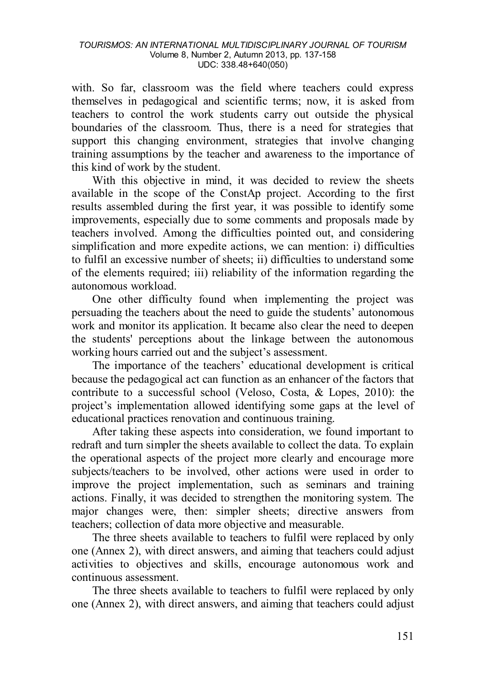with. So far, classroom was the field where teachers could express themselves in pedagogical and scientific terms; now, it is asked from teachers to control the work students carry out outside the physical boundaries of the classroom. Thus, there is a need for strategies that support this changing environment, strategies that involve changing training assumptions by the teacher and awareness to the importance of this kind of work by the student.

With this objective in mind, it was decided to review the sheets available in the scope of the ConstAp project. According to the first results assembled during the first year, it was possible to identify some improvements, especially due to some comments and proposals made by teachers involved. Among the difficulties pointed out, and considering simplification and more expedite actions, we can mention: i) difficulties to fulfil an excessive number of sheets; ii) difficulties to understand some of the elements required; iii) reliability of the information regarding the autonomous workload.

One other difficulty found when implementing the project was persuading the teachers about the need to guide the students' autonomous work and monitor its application. It became also clear the need to deepen the students' perceptions about the linkage between the autonomous working hours carried out and the subject's assessment.

The importance of the teachers' educational development is critical because the pedagogical act can function as an enhancer of the factors that contribute to a successful school (Veloso, Costa, & Lopes, 2010): the project's implementation allowed identifying some gaps at the level of educational practices renovation and continuous training.

After taking these aspects into consideration, we found important to redraft and turn simpler the sheets available to collect the data. To explain the operational aspects of the project more clearly and encourage more subjects/teachers to be involved, other actions were used in order to improve the project implementation, such as seminars and training actions. Finally, it was decided to strengthen the monitoring system. The major changes were, then: simpler sheets; directive answers from teachers; collection of data more objective and measurable.

The three sheets available to teachers to fulfil were replaced by only one (Annex 2), with direct answers, and aiming that teachers could adjust activities to objectives and skills, encourage autonomous work and continuous assessment.

The three sheets available to teachers to fulfil were replaced by only one (Annex 2), with direct answers, and aiming that teachers could adjust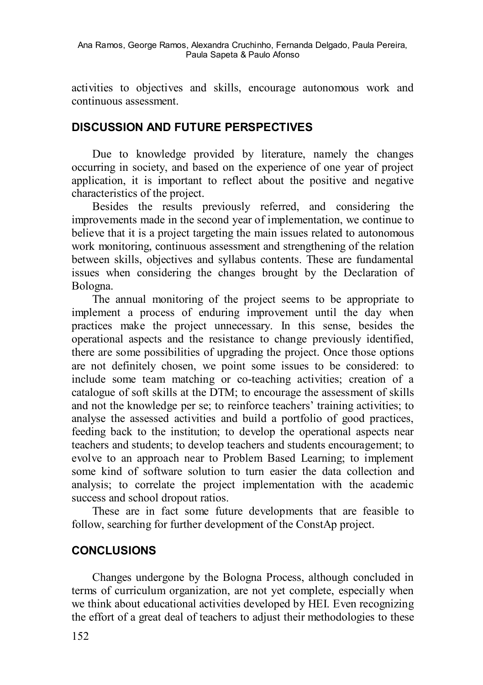activities to objectives and skills, encourage autonomous work and continuous assessment.

## **DISCUSSION AND FUTURE PERSPECTIVES**

Due to knowledge provided by literature, namely the changes occurring in society, and based on the experience of one year of project application, it is important to reflect about the positive and negative characteristics of the project.

Besides the results previously referred, and considering the improvements made in the second year of implementation, we continue to believe that it is a project targeting the main issues related to autonomous work monitoring, continuous assessment and strengthening of the relation between skills, objectives and syllabus contents. These are fundamental issues when considering the changes brought by the Declaration of Bologna.

The annual monitoring of the project seems to be appropriate to implement a process of enduring improvement until the day when practices make the project unnecessary. In this sense, besides the operational aspects and the resistance to change previously identified, there are some possibilities of upgrading the project. Once those options are not definitely chosen, we point some issues to be considered: to include some team matching or co-teaching activities; creation of a catalogue of soft skills at the DTM; to encourage the assessment of skills and not the knowledge per se; to reinforce teachers' training activities; to analyse the assessed activities and build a portfolio of good practices, feeding back to the institution; to develop the operational aspects near teachers and students; to develop teachers and students encouragement; to evolve to an approach near to Problem Based Learning; to implement some kind of software solution to turn easier the data collection and analysis; to correlate the project implementation with the academic success and school dropout ratios.

These are in fact some future developments that are feasible to follow, searching for further development of the ConstAp project.

### **CONCLUSIONS**

Changes undergone by the Bologna Process, although concluded in terms of curriculum organization, are not yet complete, especially when we think about educational activities developed by HEI. Even recognizing the effort of a great deal of teachers to adjust their methodologies to these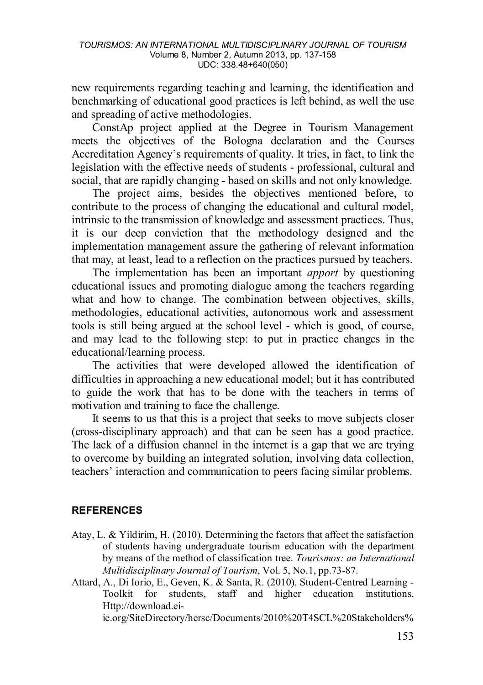new requirements regarding teaching and learning, the identification and benchmarking of educational good practices is left behind, as well the use and spreading of active methodologies.

ConstAp project applied at the Degree in Tourism Management meets the objectives of the Bologna declaration and the Courses Accreditation Agency's requirements of quality. It tries, in fact, to link the legislation with the effective needs of students - professional, cultural and social, that are rapidly changing - based on skills and not only knowledge.

The project aims, besides the objectives mentioned before, to contribute to the process of changing the educational and cultural model, intrinsic to the transmission of knowledge and assessment practices. Thus, it is our deep conviction that the methodology designed and the implementation management assure the gathering of relevant information that may, at least, lead to a reflection on the practices pursued by teachers.

The implementation has been an important *apport* by questioning educational issues and promoting dialogue among the teachers regarding what and how to change. The combination between objectives, skills, methodologies, educational activities, autonomous work and assessment tools is still being argued at the school level - which is good, of course, and may lead to the following step: to put in practice changes in the educational/learning process.

The activities that were developed allowed the identification of difficulties in approaching a new educational model; but it has contributed to guide the work that has to be done with the teachers in terms of motivation and training to face the challenge.

It seems to us that this is a project that seeks to move subjects closer (cross-disciplinary approach) and that can be seen has a good practice. The lack of a diffusion channel in the internet is a gap that we are trying to overcome by building an integrated solution, involving data collection, teachers' interaction and communication to peers facing similar problems.

#### **REFERENCES**

- Atay, L. & Yildirim, H. (2010). Determining the factors that affect the satisfaction of students having undergraduate tourism education with the department by means of the method of classification tree. *Tourismos: an International Multidisciplinary Journal of Tourism*, Vol. 5, No.1, pp.73-87.
- Attard, A., Di Iorio, E., Geven, K. & Santa, R. (2010). Student-Centred Learning Toolkit for students, staff and higher education institutions. Http://download.ei-

ie.org/SiteDirectory/hersc/Documents/2010%20T4SCL%20Stakeholders%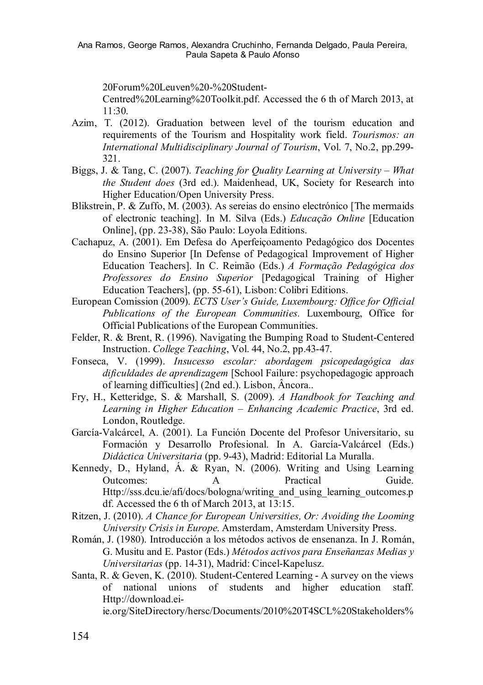20Forum%20Leuven%20-%20Student-

Centred%20Learning%20Toolkit.pdf. Accessed the 6 th of March 2013, at  $11.30.$ 

- Azim, T. (2012). Graduation between level of the tourism education and requirements of the Tourism and Hospitality work field. *Tourismos: an International Multidisciplinary Journal of Tourism*, Vol. 7, No.2, pp.299- 321.
- Biggs, J. & Tang, C. (2007). *Teaching for Quality Learning at University – What the Student does* (3rd ed.). Maidenhead, UK, Society for Research into Higher Education/Open University Press.
- Blikstrein, P. & Zuffo, M. (2003). As sereias do ensino electrónico [The mermaids of electronic teaching]. In M. Silva (Eds.) *Educação Online* [Education Online], (pp. 23-38), São Paulo: Loyola Editions.
- Cachapuz, A. (2001). Em Defesa do Aperfeiçoamento Pedagógico dos Docentes do Ensino Superior [In Defense of Pedagogical Improvement of Higher Education Teachers]. In C. Reimão (Eds.) *A Formação Pedagógica dos Professores do Ensino Superior* [Pedagogical Training of Higher Education Teachers], (pp. 55-61), Lisbon: Colibri Editions.
- European Comission (2009). *ECTS User's Guide, Luxembourg: Office for Official Publications of the European Communities.* Luxembourg, Office for Official Publications of the European Communities.
- Felder, R. & Brent, R. (1996). Navigating the Bumping Road to Student-Centered Instruction. *College Teaching*, Vol. 44, No.2, pp.43-47.
- Fonseca, V. (1999). *Insucesso escolar: abordagem psicopedagógica das dificuldades de aprendizagem* [School Failure: psychopedagogic approach of learning difficulties] (2nd ed.). Lisbon, Âncora..
- Fry, H., Ketteridge, S. & Marshall, S. (2009). *A Handbook for Teaching and Learning in Higher Education – Enhancing Academic Practice*, 3rd ed. London, Routledge.
- García-Valcárcel, A. (2001). La Función Docente del Profesor Universitario, su Formación y Desarrollo Profesional. In A. García-Valcárcel (Eds.) *Didáctica Universitaria* (pp. 9-43), Madrid: Editorial La Muralla.
- Kennedy, D., Hyland, Á. & Ryan, N. (2006). Writing and Using Learning Outcomes: A Practical Guide. Http://sss.dcu.ie/afi/docs/bologna/writing\_and\_using\_learning\_outcomes.p df. Accessed the 6 th of March 2013, at 13:15.
- Ritzen, J. (2010). *A Chance for European Universities, Or: Avoiding the Looming University Crisis in Europe*. Amsterdam, Amsterdam University Press.
- Román, J. (1980). Introducción a los métodos activos de ensenanza. In J. Román, G. Musitu and E. Pastor (Eds.) *Métodos activos para Enseñanzas Medias y Universitarias* (pp. 14-31), Madrid: Cincel-Kapelusz.
- Santa, R. & Geven, K. (2010). Student-Centered Learning A survey on the views of national unions of students and higher education staff. Http://download.eiie.org/SiteDirectory/hersc/Documents/2010%20T4SCL%20Stakeholders%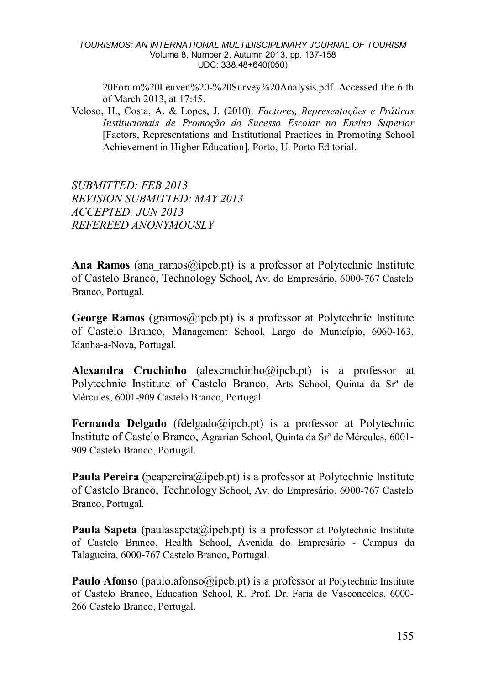#### *TOURISMOS: AN INTERNATIONAL MULTIDISCIPLINARY JOURNAL OF TOURISM* Volume 8, Number 2, Autumn 2013, pp. 137-158 UDC: 338.48+640(050)

20Forum%20Leuven%20-%20Survey%20Analysis.pdf. Accessed the 6 th of March 2013, at 17:45.

Veloso, H., Costa, A. & Lopes, J. (2010). *Factores, Representações e Práticas Institucionais de Promoção do Sucesso Escolar no Ensino Superior* [Factors, Representations and Institutional Practices in Promoting School Achievement in Higher Education]*.* Porto, U. Porto Editorial.

*SUBMITTED: FEB 2013 REVISION SUBMITTED: MAY 2013 ACCEPTED: JUN 2013 REFEREED ANONYMOUSLY*

Ana Ramos (ana ramos@ipcb.pt) is a professor at Polytechnic Institute of Castelo Branco, Technology School, Av. do Empresário, 6000-767 Castelo Branco, Portugal.

**George Ramos** (gramos@ipcb.pt) is a professor at Polytechnic Institute of Castelo Branco, Management School, Largo do Município, 6060-163, Idanha-a-Nova, Portugal.

**Alexandra Cruchinho** (alexcruchinho@ipcb.pt) is a professor at Polytechnic Institute of Castelo Branco, Arts School, Quinta da Srª de Mércules, 6001-909 Castelo Branco, Portugal.

**Fernanda Delgado** (fdelgado@ipcb.pt) is a professor at Polytechnic Institute of Castelo Branco, Agrarian School, Quinta da Srª de Mércules, 6001- 909 Castelo Branco, Portugal.

**Paula Pereira** (pcapereira@ipcb.pt) is a professor at Polytechnic Institute of Castelo Branco, Technology School, Av. do Empresário, 6000-767 Castelo Branco, Portugal.

**Paula Sapeta** (paulasapeta@ipcb.pt) is a professor at Polytechnic Institute of Castelo Branco, Health School, Avenida do Empresário - Campus da Talagueira, 6000-767 Castelo Branco, Portugal.

**Paulo Afonso** (paulo afonso@ipcb.pt) is a professor at Polytechnic Institute of Castelo Branco, Education School, R. Prof. Dr. Faria de Vasconcelos, 6000- 266 Castelo Branco, Portugal.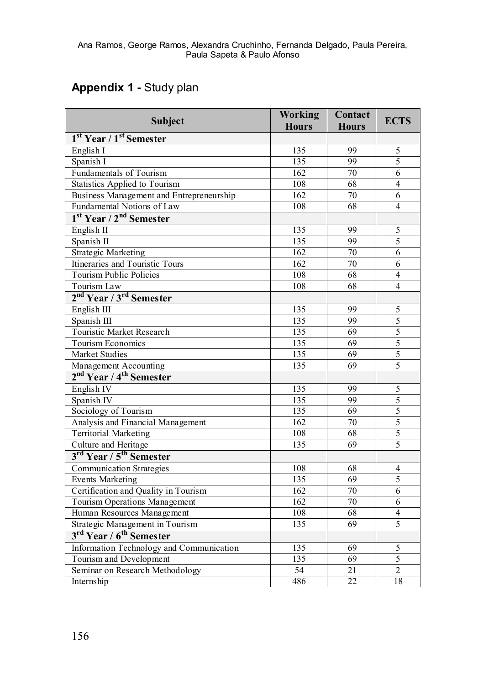# **Appendix 1 -** Study plan

| Subject                                         | Working<br><b>Hours</b> | Contact<br><b>Hours</b> | <b>ECTS</b>    |
|-------------------------------------------------|-------------------------|-------------------------|----------------|
| 1 <sup>st</sup> Year / 1 <sup>st</sup> Semester |                         |                         |                |
| English I                                       | 135                     | 99                      | 5              |
| Spanish I                                       | 135                     | 99                      | 5              |
| Fundamentals of Tourism                         | 162                     | 70                      | $\overline{6}$ |
| Statistics Applied to Tourism                   | 108                     | 68                      | $\overline{4}$ |
| Business Management and Entrepreneurship        | $\overline{162}$        | 70                      | 6              |
| Fundamental Notions of Law                      | 108                     | 68                      | 4              |
| 1 <sup>st</sup> Year / 2 <sup>nd</sup> Semester |                         |                         |                |
| English II                                      | 135                     | 99                      | 5              |
| Spanish II                                      | 135                     | 99                      | $\overline{5}$ |
| <b>Strategic Marketing</b>                      | $\overline{162}$        | 70                      | 6              |
| Itineraries and Touristic Tours                 | 162                     | 70                      | 6              |
| <b>Tourism Public Policies</b>                  | 108                     | 68                      | $\overline{4}$ |
| Tourism Law                                     | 108                     | 68                      | $\overline{4}$ |
| 2 <sup>nd</sup> Year / 3 <sup>rd</sup> Semester |                         |                         |                |
| English III                                     | 135                     | 99                      | 5              |
| Spanish III                                     | 135                     | 99                      | 5              |
| Touristic Market Research                       | 135                     | 69                      | $\overline{5}$ |
| <b>Tourism Economics</b>                        | 135                     | 69                      | $\overline{5}$ |
| Market Studies                                  | 135                     | 69                      | 5              |
| Management Accounting                           | 135                     | 69                      | 5              |
| 2 <sup>nd</sup> Year / 4 <sup>th</sup> Semester |                         |                         |                |
| English IV                                      | 135                     | 99                      | 5              |
| Spanish IV                                      | 135                     | 99                      | 5              |
| Sociology of Tourism                            | 135                     | 69                      | 5              |
| Analysis and Financial Management               | 162                     | 70                      | $\overline{5}$ |
| <b>Territorial Marketing</b>                    | 108                     | 68                      | $\overline{5}$ |
| Culture and Heritage                            | 135                     | 69                      | 5              |
| 3 <sup>rd</sup> Year / 5 <sup>th</sup> Semester |                         |                         |                |
| Communication Strategies                        | 108                     | 68                      | 4              |
| <b>Events Marketing</b>                         | 135                     | 69                      | 5              |
| Certification and Quality in Tourism            | 162                     | 70                      | $\overline{6}$ |
| Tourism Operations Management                   | $\overline{162}$        | 70                      | 6              |
| Human Resources Management                      | 108                     | 68                      | 4              |
| Strategic Management in Tourism                 | 135                     | 69                      | $\overline{5}$ |
| 3rd Year / 6 <sup>th</sup> Semester             |                         |                         |                |
| Information Technology and Communication        | 135                     | 69                      | 5              |
| Tourism and Development                         | 135                     | 69                      | 5              |
| Seminar on Research Methodology                 | 54                      | 21                      | $\overline{2}$ |
| Internship                                      | 486                     | $\overline{22}$         | 18             |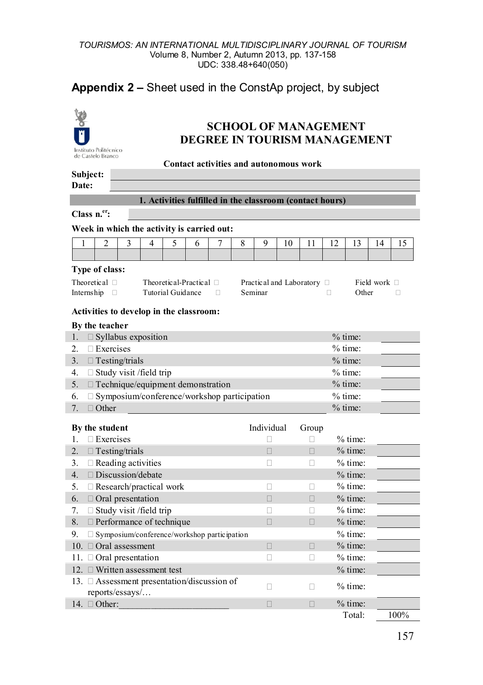#### *TOURISMOS: AN INTERNATIONAL MULTIDISCIPLINARY JOURNAL OF TOURISM* Volume 8, Number 2, Autumn 2013, pp. 137-158 UDC: 338.48+640(050)

## **Appendix 2 –** Sheet used in the ConstAp project, by subject



## **SCHOOL OF MANAGEMENT DEGREE IN TOURISM MANAGEMENT**

| de Castelo Branco<br>Contact activities and autonomous work                                           |                                                     |   |                                                    |                          |                              |   |   |             |    |                            |           |                        |                   |      |
|-------------------------------------------------------------------------------------------------------|-----------------------------------------------------|---|----------------------------------------------------|--------------------------|------------------------------|---|---|-------------|----|----------------------------|-----------|------------------------|-------------------|------|
| Subject:                                                                                              |                                                     |   |                                                    |                          |                              |   |   |             |    |                            |           |                        |                   |      |
| Date:                                                                                                 |                                                     |   |                                                    |                          |                              |   |   |             |    |                            |           |                        |                   |      |
| 1. Activities fulfilled in the classroom (contact hours)                                              |                                                     |   |                                                    |                          |                              |   |   |             |    |                            |           |                        |                   |      |
| Class $n^{\text{er}}$ :                                                                               |                                                     |   |                                                    |                          |                              |   |   |             |    |                            |           |                        |                   |      |
| Week in which the activity is carried out:                                                            |                                                     |   |                                                    |                          |                              |   |   |             |    |                            |           |                        |                   |      |
| 1                                                                                                     | $\overline{c}$                                      | 3 | $\overline{4}$                                     | 5                        | 6                            | 7 | 8 | 9           | 10 | 11                         | 12        | 13                     | 14                | 15   |
|                                                                                                       |                                                     |   |                                                    |                          |                              |   |   |             |    |                            |           |                        |                   |      |
|                                                                                                       | Type of class:                                      |   |                                                    |                          |                              |   |   |             |    |                            |           |                        |                   |      |
|                                                                                                       | Theoretical $\square$                               |   |                                                    |                          | Theoretical-Practical $\Box$ |   |   |             |    | Practical and Laboratory □ |           |                        | Field work $\Box$ |      |
| Internship                                                                                            | □                                                   |   |                                                    | <b>Tutorial Guidance</b> |                              | п |   | Seminar     |    |                            | п         | Other                  |                   | п    |
|                                                                                                       |                                                     |   |                                                    |                          |                              |   |   |             |    |                            |           |                        |                   |      |
|                                                                                                       |                                                     |   | Activities to develop in the classroom:            |                          |                              |   |   |             |    |                            |           |                        |                   |      |
|                                                                                                       | By the teacher                                      |   |                                                    |                          |                              |   |   |             |    |                            |           |                        |                   |      |
| 1.<br>2.                                                                                              | $\Box$ Exercises                                    |   | □ Syllabus exposition                              |                          |                              |   |   |             |    |                            |           | $%$ time:<br>$%$ time: |                   |      |
| 3 <sub>1</sub>                                                                                        | $\Box$ Testing/trials                               |   |                                                    |                          |                              |   |   |             |    |                            |           | $%$ time:              |                   |      |
| 4.                                                                                                    |                                                     |   |                                                    |                          |                              |   |   |             |    |                            |           |                        |                   |      |
| $\Box$ Study visit /field trip<br>$%$ time:<br>□ Technique/equipment demonstration<br>$%$ time:<br>5. |                                                     |   |                                                    |                          |                              |   |   |             |    |                            |           |                        |                   |      |
| 6.                                                                                                    |                                                     |   | $\Box$ Symposium/conference/workshop participation |                          |                              |   |   |             |    |                            |           | $%$ time:              |                   |      |
| 7.                                                                                                    | $\Box$ Other                                        |   |                                                    |                          |                              |   |   |             |    |                            |           | $%$ time:              |                   |      |
|                                                                                                       |                                                     |   |                                                    |                          |                              |   |   |             |    |                            |           |                        |                   |      |
|                                                                                                       | By the student                                      |   |                                                    |                          |                              |   |   | Individual  |    | Group                      |           | $%$ time:              |                   |      |
| 1.                                                                                                    | $\Box$ Exercises                                    |   |                                                    |                          |                              |   |   | П           |    | п                          |           |                        |                   |      |
| 2.<br>3.                                                                                              | $\Box$ Testing/trials<br>$\Box$ Reading activities  |   |                                                    |                          |                              |   |   | $\Box$<br>п |    | $\Box$<br>п                | $%$ time: |                        |                   |      |
| 4.                                                                                                    | $\Box$ Discussion/debate                            |   |                                                    |                          |                              |   |   |             |    |                            |           | $%$ time:<br>$%$ time: |                   |      |
| 5.                                                                                                    |                                                     |   | $\Box$ Research/practical work                     |                          |                              |   |   | П           |    | п                          |           | $%$ time:              |                   |      |
| 6.                                                                                                    | $\Box$ Oral presentation                            |   |                                                    |                          |                              |   |   | $\Box$      |    | П                          |           | $%$ time:              |                   |      |
| 7.                                                                                                    |                                                     |   | $\Box$ Study visit / field trip                    |                          |                              |   |   | п           |    | п                          |           | $%$ time:              |                   |      |
| 8.                                                                                                    |                                                     |   | $\Box$ Performance of technique                    |                          |                              |   |   | $\Box$      |    | П                          |           | $%$ time:              |                   |      |
| 9.                                                                                                    |                                                     |   | $\Box$ Symposium/conference/workshop participation |                          |                              |   |   |             |    |                            |           | $%$ time:              |                   |      |
|                                                                                                       | 10. Oral assessment                                 |   |                                                    |                          |                              |   |   | $\Box$      |    | $\Box$                     |           | $%$ time:              |                   |      |
|                                                                                                       | $%$ time:<br>11. $\Box$ Oral presentation<br>П<br>Ω |   |                                                    |                          |                              |   |   |             |    |                            |           |                        |                   |      |
| 12. $\Box$ Written assessment test<br>$%$ time:                                                       |                                                     |   |                                                    |                          |                              |   |   |             |    |                            |           |                        |                   |      |
|                                                                                                       |                                                     |   | 13. $\Box$ Assessment presentation/discussion of   |                          |                              |   |   | п           |    | П                          |           | $%$ time:              |                   |      |
|                                                                                                       | reports/essays/                                     |   |                                                    |                          |                              |   |   |             |    |                            |           |                        |                   |      |
|                                                                                                       | 14. $\Box$ Other:                                   |   |                                                    |                          |                              |   |   | $\Box$      |    | $\Box$                     |           | $%$ time:              |                   |      |
|                                                                                                       |                                                     |   |                                                    |                          |                              |   |   |             |    |                            |           | Total:                 |                   | 100% |